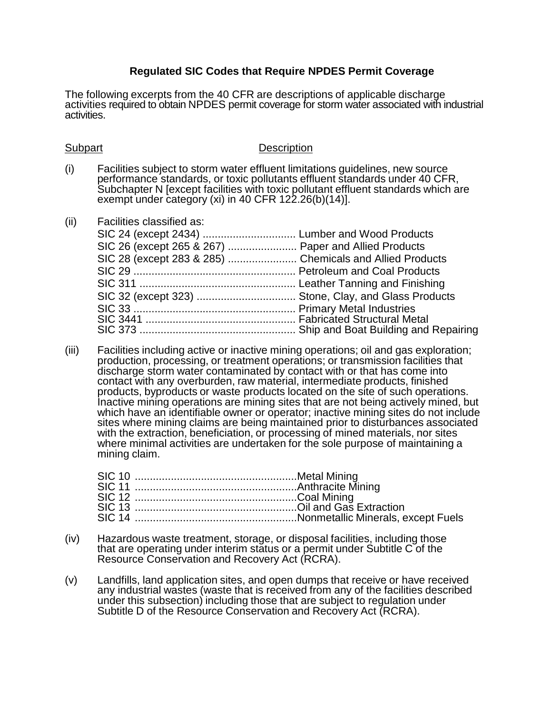## **Regulated SIC Codes that Require NPDES Permit Coverage**

The following excerpts from the 40 CFR are descriptions of applicable discharge activities required to obtain NPDES permit coverage for storm water associated with industrial activities.

## **Subpart** Description

- (i) Facilities subject to storm water effluent limitations guidelines, new source performance standards, or toxic pollutants effluent standards under 40 CFR, Subchapter N [except facilities with toxic pollutant effluent standards which are exempt under category (xi) in 40 CFR 122.26(b)(14)].
- (ii) Facilities classified as:

| SIC 26 (except 265 & 267)  Paper and Allied Products |  |
|------------------------------------------------------|--|
|                                                      |  |
|                                                      |  |
|                                                      |  |
|                                                      |  |
|                                                      |  |
|                                                      |  |
|                                                      |  |
|                                                      |  |

(iii) Facilities including active or inactive mining operations; oil and gas exploration; production, processing, or treatment operations; or transmission facilities that discharge storm water contaminated by contact with or that has come into contact with any overburden, raw material, intermediate products, finished products, byproducts or waste products located on the site of such operations. Inactive mining operations are mining sites that are not being actively mined, but which have an identifiable owner or operator; inactive mining sites do not include sites where mining claims are being maintained prior to disturbances associated with the extraction, beneficiation, or processing of mined materials, nor sites where minimal activities are undertaken for the sole purpose of maintaining a mining claim.

- (iv) Hazardous waste treatment, storage, or disposal facilities, including those that are operating under interim status or a permit under Subtitle C of the Resource Conservation and Recovery Act (RCRA).
- (v) Landfills, land application sites, and open dumps that receive or have received any industrial wastes (waste that is received from any of the facilities described under this subsection) including those that are subject to regulation under Subtitle D of the Resource Conservation and Recovery Act (RCRA).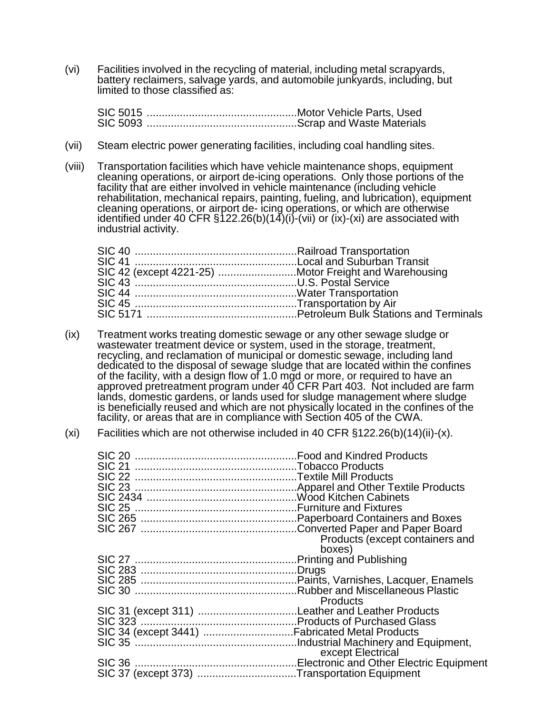(vi) Facilities involved in the recycling of material, including metal scrapyards, battery reclaimers, salvage yards, and automobile junkyards, including, but limited to those classified as:

SIC 5015 ..................................................Motor Vehicle Parts, Used SIC 5093 ..................................................Scrap and Waste Materials

- (vii) Steam electric power generating facilities, including coal handling sites.
- (viii) Transportation facilities which have vehicle maintenance shops, equipment cleaning operations, or airport de-icing operations. Only those portions of the facility that are either involved in vehicle maintenance (including vehicle rehabilitation, mechanical repairs, painting, fueling, and lubrication), equipment cleaning operations, or airport de- icing operations, or which are otherwise identified under 40 CFR  $\S$ 122.26(b)(14)(i)-(vii) or (ix)-(xi) are associated with industrial activity.

| SIC 42 (except 4221-25) Motor Freight and Warehousing |  |
|-------------------------------------------------------|--|
|                                                       |  |
|                                                       |  |
|                                                       |  |
|                                                       |  |

- (ix) Treatment works treating domestic sewage or any other sewage sludge or wastewater treatment device or system, used in the storage, treatment, recycling, and reclamation of municipal or domestic sewage, including land dedicated to the disposal of sewage sludge that are located within the confines of the facility, with a design flow of 1.0 mgd or more, or required to have an approved pretreatment program under 40 CFR Part 403. Not included are farm lands, domestic gardens, or lands used for sludge management where sludge is beneficially reused and which are not physically located in the confines of the facility, or areas that are in compliance with Section 405 of the CWA.
- (xi) Facilities which are not otherwise included in 40 CFR  $\S$ 122.26(b)(14)(ii)-(x).

| <b>SIC 21</b>                                |                                 |
|----------------------------------------------|---------------------------------|
|                                              |                                 |
|                                              |                                 |
|                                              |                                 |
|                                              |                                 |
|                                              |                                 |
|                                              |                                 |
|                                              | Products (except containers and |
|                                              | boxes)                          |
|                                              |                                 |
|                                              |                                 |
|                                              |                                 |
|                                              |                                 |
|                                              | <b>Products</b>                 |
|                                              |                                 |
|                                              |                                 |
|                                              |                                 |
|                                              |                                 |
|                                              | except Electrical               |
|                                              |                                 |
| SIC 37 (except 373) Transportation Equipment |                                 |
|                                              |                                 |